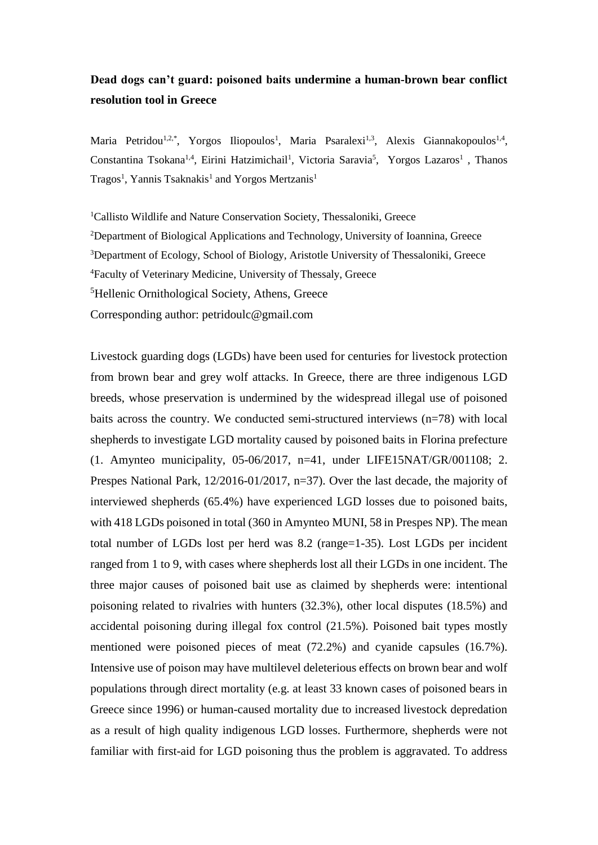## **Dead dogs can't guard: poisoned baits undermine a human-brown bear conflict resolution tool in Greece**

Maria Petridou<sup>1,2,\*</sup>, Yorgos Iliopoulos<sup>1</sup>, Maria Psaralexi<sup>1,3</sup>, Alexis Giannakopoulos<sup>1,4</sup>, Constantina Tsokana<sup>1,4</sup>, Eirini Hatzimichail<sup>1</sup>, Victoria Saravia<sup>5</sup>, Yorgos Lazaros<sup>1</sup>, Thanos Tragos<sup>1</sup>, Yannis Tsaknakis<sup>1</sup> and Yorgos Mertzanis<sup>1</sup>

<sup>1</sup>Callisto Wildlife and Nature Conservation Society, Thessaloniki, Greece <sup>2</sup>Department of Biological Applications and Technology, University of Ioannina, Greece <sup>3</sup>Department of Ecology, School of Biology, Aristotle University of Thessaloniki, Greece <sup>4</sup>Faculty of Veterinary Medicine, University of Thessaly, Greece <sup>5</sup>Hellenic Ornithological Society, Athens, Greece Corresponding author: petridoulc@gmail.com

Livestock guarding dogs (LGDs) have been used for centuries for livestock protection from brown bear and grey wolf attacks. In Greece, there are three indigenous LGD breeds, whose preservation is undermined by the widespread illegal use of poisoned baits across the country. We conducted semi-structured interviews (n=78) with local shepherds to investigate LGD mortality caused by poisoned baits in Florina prefecture (1. Amynteo municipality, 05-06/2017, n=41, under LIFE15NAT/GR/001108; 2. Prespes National Park, 12/2016-01/2017, n=37). Over the last decade, the majority of interviewed shepherds (65.4%) have experienced LGD losses due to poisoned baits, with 418 LGDs poisoned in total (360 in Amynteo MUNI, 58 in Prespes NP). The mean total number of LGDs lost per herd was 8.2 (range=1-35). Lost LGDs per incident ranged from 1 to 9, with cases where shepherds lost all their LGDs in one incident. The three major causes of poisoned bait use as claimed by shepherds were: intentional poisoning related to rivalries with hunters (32.3%), other local disputes (18.5%) and accidental poisoning during illegal fox control (21.5%). Poisoned bait types mostly mentioned were poisoned pieces of meat (72.2%) and cyanide capsules (16.7%). Intensive use of poison may have multilevel deleterious effects on brown bear and wolf populations through direct mortality (e.g. at least 33 known cases of poisoned bears in Greece since 1996) or human-caused mortality due to increased livestock depredation as a result of high quality indigenous LGD losses. Furthermore, shepherds were not familiar with first-aid for LGD poisoning thus the problem is aggravated. To address